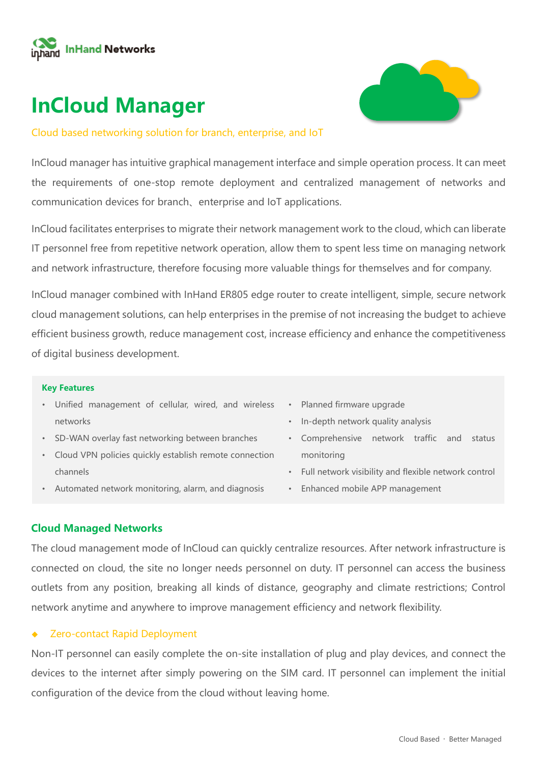

# **InCloud Manager**



### Cloud based networking solution for branch, enterprise, and IoT

InCloud manager has intuitive graphical management interface and simple operation process. It can meet the requirements of one-stop remote deployment and centralized management of networks and communication devices for branch、enterprise and IoT applications.

InCloud facilitates enterprises to migrate their network management work to the cloud, which can liberate IT personnel free from repetitive network operation, allow them to spent less time on managing network and network infrastructure, therefore focusing more valuable things for themselves and for company.

InCloud manager combined with InHand ER805 edge router to create intelligent, simple, secure network cloud management solutions, can help enterprises in the premise of not increasing the budget to achieve efficient business growth, reduce management cost, increase efficiency and enhance the competitiveness of digital business development.

### **Key Features**

- Unified management of cellular, wired, and wireless networks
- SD-WAN overlay fast networking between branches
- Cloud VPN policies quickly establish remote connection channels
- Automated network monitoring, alarm, and diagnosis
- Planned firmware upgrade
- In-depth network quality analysis
- Comprehensive network traffic and status monitoring
- Full network visibility and flexible network control
- Enhanced mobile APP management

### **Cloud Managed Networks**

The cloud management mode of InCloud can quickly centralize resources. After network infrastructure is connected on cloud, the site no longer needs personnel on duty. IT personnel can access the business outlets from any position, breaking all kinds of distance, geography and climate restrictions; Control network anytime and anywhere to improve management efficiency and network flexibility.

### ◆ Zero-contact Rapid Deployment

Non-IT personnel can easily complete the on-site installation of plug and play devices, and connect the devices to the internet after simply powering on the SIM card. IT personnel can implement the initial configuration of the device from the cloud without leaving home.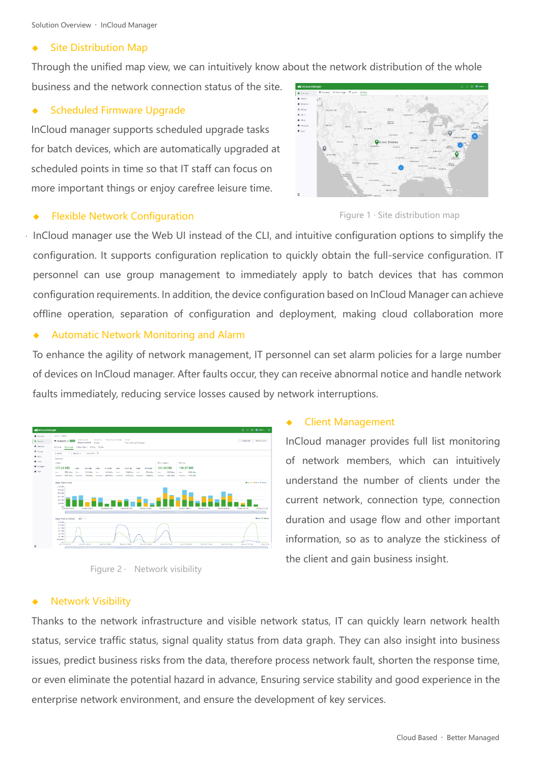Solution Overview · InCloud Manager

### **Site Distribution Map**

Through the unified map view, we can intuitively know about the network distribution of the whole

business and the network connection status of the site.

### **Scheduled Firmware Upgrade**

InCloud manager supports scheduled upgrade tasks for batch devices, which are automatically upgraded at scheduled points in time so that IT staff can focus on more important things or enjoy carefree leisure time.

# $\begin{aligned} \Phi \text{ R200} \\ \Delta \text{ S00p} \\ \Phi \text{ R20} \\ \Phi \text{ R00} \\ \Phi \text{ R00} \\ \Pi \text{ R000} \\ \Pi \text{ R000} \\ \end{aligned}$



InCloud manager use the Web UI instead of the CLI, and intuitive configuration options to simplify the configuration. It supports configuration replication to quickly obtain the full-service configuration. IT personnel can use group management to immediately apply to batch devices that has common configuration requirements. In addition, the device configuration based on InCloud Manager can achieve offline operation, separation of configuration and deployment, making cloud collaboration more

### ◆ Automatic Network Monitoring and Alarm

To enhance the agility of network management, IT personnel can set alarm policies for a large number of devices on InCloud manager. After faults occur, they can receive abnormal notice and handle network faults immediately, reducing service losses caused by network interruptions.

| d'incloud Manager                                                           |                                                                                                                                                                                                                                                                                                                                                                                                                                 | $\Pi$ of $\Theta$ $\Theta$ mm $\sim$ $\lambda$                    |
|-----------------------------------------------------------------------------|---------------------------------------------------------------------------------------------------------------------------------------------------------------------------------------------------------------------------------------------------------------------------------------------------------------------------------------------------------------------------------------------------------------------------------|-------------------------------------------------------------------|
| <b>B</b> Detroit<br><b>B</b> <i><b>Drawn</b></i>                            | policy page<br>Networking Cebider Screen Strength Control<br><b>Cental Number</b><br>+ Branch 3 BRID                                                                                                                                                                                                                                                                                                                            | cortauration<br>Remote Access                                     |
| <b>O</b> Intends<br>A Count                                                 | лакопересов матро<br>2 days 10 hours 17 minutes<br>Overview Data/Usine Cellular/Signal Clickes Details                                                                                                                                                                                                                                                                                                                          |                                                                   |
| W. Hotel<br><b>A</b> 6505<br><b>B</b> <i>MESSARE</i><br><b>B</b> local<br>Ξ | у завере о завере В<br><b>Hoaty</b><br>Summery<br>Callege<br>Wind manns<br>Windows<br>190.87 MB<br>375.26 MB<br>183,58 MB<br>smit.<br>35.00340<br>1892<br>101.25 Md<br>5843<br>105.81.942<br>1894<br>11032343<br><b>ITMMS: Set</b><br>200224434<br><b>Cash</b><br><b>STALMA #</b><br>stations.<br>minutes.<br><b>Seve</b><br>41201434<br><b>Sent</b><br>$+7543077$<br>Card<br>Seeh<br>Service                                   |                                                                   |
|                                                                             | <b>SURNING</b><br>Separati M41MLs<br><b>Between 10189-MEA</b><br>Source: HOSMA Source:<br>MAINIA Reported<br><b>SMT-HTA</b> Repeated<br>Mid-Mix Separat<br>Using Trend by Type<br>3722340<br>4541140<br>3615345<br>3001948<br>1907140<br>104167<br>Ab.<br>2023-00-160133<br>32242-4900<br>2020-02-14:00:00<br>2022-03-16 23:00<br>2020-22-1604.33<br>2023-02-16 3600<br>2022-00-16 02:36<br>2022-00-16 10:00<br>2002-20-16 1200 | <b>Branch Bread Breads</b><br>2022-02-16 12:00<br>2022-00-11 1506 |
|                                                                             | Usage Ford by Interface Start 12<br><b>GAM</b><br>57216<br>427348<br>131500<br>239,946<br>141500<br>978,5603<br>0 <sup>2</sup><br>DRZ DE TO BREE<br><b>EAST OF THIRD</b><br>assistments.<br>2022/02/16 00:00<br>atzaile teories<br><b>JUST BY THIRD E</b><br>2020/12/20 05:00<br>Statute te resul<br>Discussed the fight of                                                                                                     | <b>Bism III Romed</b><br><b>ANZ IN THIS R</b><br>axa or m         |



### **Client Management**

InCloud manager provides full list monitoring of network members, which can intuitively understand the number of clients under the current network, connection type, connection duration and usage flow and other important information, so as to analyze the stickiness of the client and gain business insight.

### **Network Visibility**

Thanks to the network infrastructure and visible network status, IT can quickly learn network health status, service traffic status, signal quality status from data graph. They can also insight into business issues, predict business risks from the data, therefore process network fault, shorten the response time, or even eliminate the potential hazard in advance, Ensuring service stability and good experience in the enterprise network environment, and ensure the development of key services.

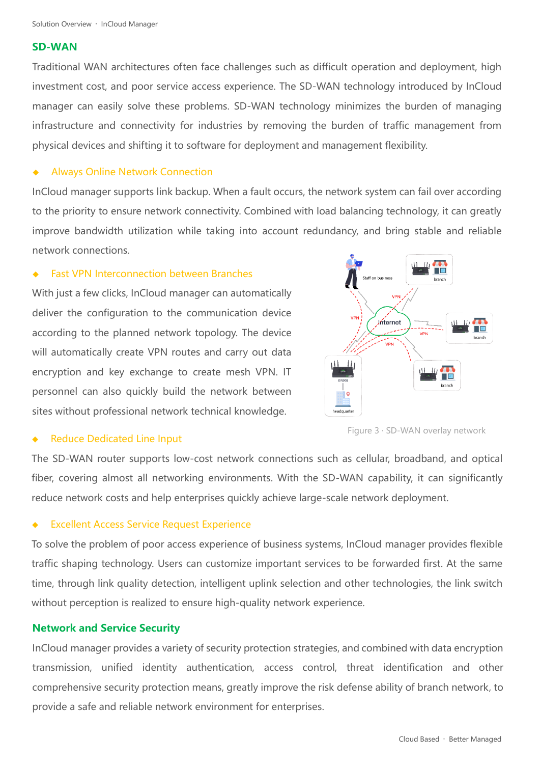Solution Overview · InCloud Manager

### **SD-WAN**

Traditional WAN architectures often face challenges such as difficult operation and deployment, high investment cost, and poor service access experience. The SD-WAN technology introduced by InCloud manager can easily solve these problems. SD-WAN technology minimizes the burden of managing infrastructure and connectivity for industries by removing the burden of traffic management from physical devices and shifting it to software for deployment and management flexibility.

### **Always Online Network Connection**

InCloud manager supports link backup. When a fault occurs, the network system can fail over according to the priority to ensure network connectivity. Combined with load balancing technology, it can greatly improve bandwidth utilization while taking into account redundancy, and bring stable and reliable network connections.

### **Fast VPN Interconnection between Branches**

With just a few clicks, InCloud manager can automatically deliver the configuration to the communication device according to the planned network topology. The device will automatically create VPN routes and carry out data encryption and key exchange to create mesh VPN. IT personnel can also quickly build the network between sites without professional network technical knowledge.



### **Reduce Dedicated Line Input**

Figure 3 · SD-WAN overlay network

The SD-WAN router supports low-cost network connections such as cellular, broadband, and optical fiber, covering almost all networking environments. With the SD-WAN capability, it can significantly reduce network costs and help enterprises quickly achieve large-scale network deployment.

### **Excellent Access Service Request Experience**

To solve the problem of poor access experience of business systems, InCloud manager provides flexible traffic shaping technology. Users can customize important services to be forwarded first. At the same time, through link quality detection, intelligent uplink selection and other technologies, the link switch without perception is realized to ensure high-quality network experience.

### **Network and Service Security**

InCloud manager provides a variety of security protection strategies, and combined with data encryption transmission, unified identity authentication, access control, threat identification and other comprehensive security protection means, greatly improve the risk defense ability of branch network, to provide a safe and reliable network environment for enterprises.